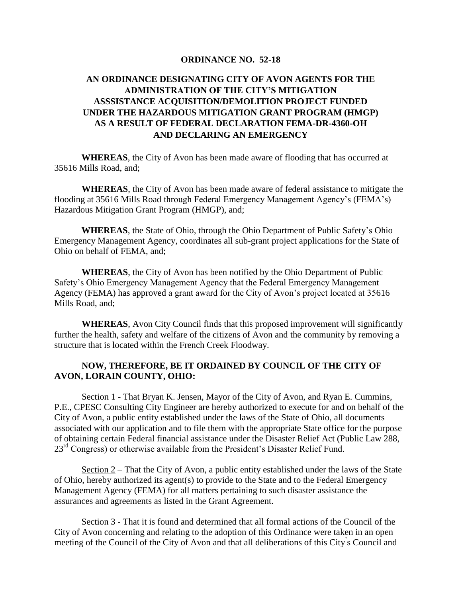## **ORDINANCE NO. 52-18**

## **AN ORDINANCE DESIGNATING CITY OF AVON AGENTS FOR THE ADMINISTRATION OF THE CITY'S MITIGATION ASSSISTANCE ACQUISITION/DEMOLITION PROJECT FUNDED UNDER THE HAZARDOUS MITIGATION GRANT PROGRAM (HMGP) AS A RESULT OF FEDERAL DECLARATION FEMA-DR-4360-OH AND DECLARING AN EMERGENCY**

**WHEREAS**, the City of Avon has been made aware of flooding that has occurred at 35616 Mills Road, and;

**WHEREAS**, the City of Avon has been made aware of federal assistance to mitigate the flooding at 35616 Mills Road through Federal Emergency Management Agency's (FEMA's) Hazardous Mitigation Grant Program (HMGP), and;

**WHEREAS**, the State of Ohio, through the Ohio Department of Public Safety's Ohio Emergency Management Agency, coordinates all sub-grant project applications for the State of Ohio on behalf of FEMA, and;

**WHEREAS**, the City of Avon has been notified by the Ohio Department of Public Safety's Ohio Emergency Management Agency that the Federal Emergency Management Agency (FEMA) has approved a grant award for the City of Avon's project located at 35616 Mills Road, and;

**WHEREAS**, Avon City Council finds that this proposed improvement will significantly further the health, safety and welfare of the citizens of Avon and the community by removing a structure that is located within the French Creek Floodway.

## **NOW, THEREFORE, BE IT ORDAINED BY COUNCIL OF THE CITY OF AVON, LORAIN COUNTY, OHIO:**

Section 1 - That Bryan K. Jensen, Mayor of the City of Avon, and Ryan E. Cummins, P.E., CPESC Consulting City Engineer are hereby authorized to execute for and on behalf of the City of Avon, a public entity established under the laws of the State of Ohio, all documents associated with our application and to file them with the appropriate State office for the purpose of obtaining certain Federal financial assistance under the Disaster Relief Act (Public Law 288, 23<sup>rd</sup> Congress) or otherwise available from the President's Disaster Relief Fund.

Section 2 – That the City of Avon, a public entity established under the laws of the State of Ohio, hereby authorized its agent(s) to provide to the State and to the Federal Emergency Management Agency (FEMA) for all matters pertaining to such disaster assistance the assurances and agreements as listed in the Grant Agreement.

Section 3 - That it is found and determined that all formal actions of the Council of the City of Avon concerning and relating to the adoption of this Ordinance were taken in an open meeting of the Council of the City of Avon and that all deliberations of this City' s Council and